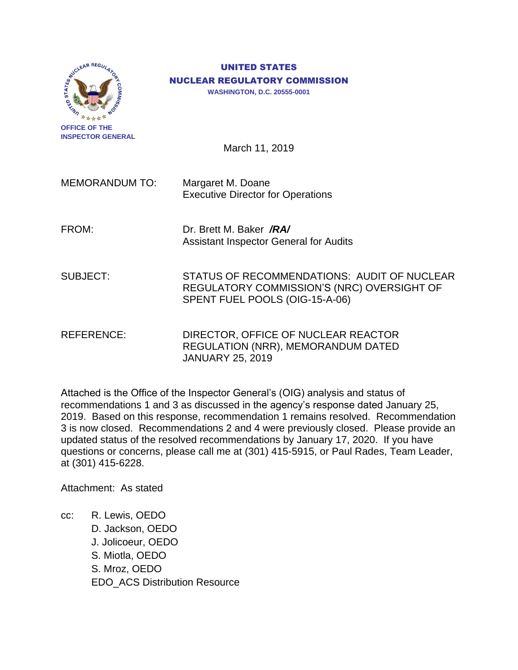

**OFFICE OF THE INSPECTOR GENERAL**

# UNITED STATES NUCLEAR REGULATORY COMMISSION

**WASHINGTON, D.C. 20555-0001**

March 11, 2019

MEMORANDUM TO: Margaret M. Doane Executive Director for Operations

FROM: Dr. Brett M. Baker */RA/* Assistant Inspector General for Audits

SUBJECT: STATUS OF RECOMMENDATIONS: AUDIT OF NUCLEAR REGULATORY COMMISSION'S (NRC) OVERSIGHT OF SPENT FUEL POOLS (OIG-15-A-06)

REFERENCE: DIRECTOR, OFFICE OF NUCLEAR REACTOR REGULATION (NRR), MEMORANDUM DATED JANUARY 25, 2019

Attached is the Office of the Inspector General's (OIG) analysis and status of recommendations 1 and 3 as discussed in the agency's response dated January 25, 2019. Based on this response, recommendation 1 remains resolved. Recommendation 3 is now closed. Recommendations 2 and 4 were previously closed. Please provide an updated status of the resolved recommendations by January 17, 2020. If you have questions or concerns, please call me at (301) 415-5915, or Paul Rades, Team Leader, at (301) 415-6228.

Attachment: As stated

cc: R. Lewis, OEDO D. Jackson, OEDO J. Jolicoeur, OEDO S. Miotla, OEDO S. Mroz, OEDO EDO\_ACS Distribution Resource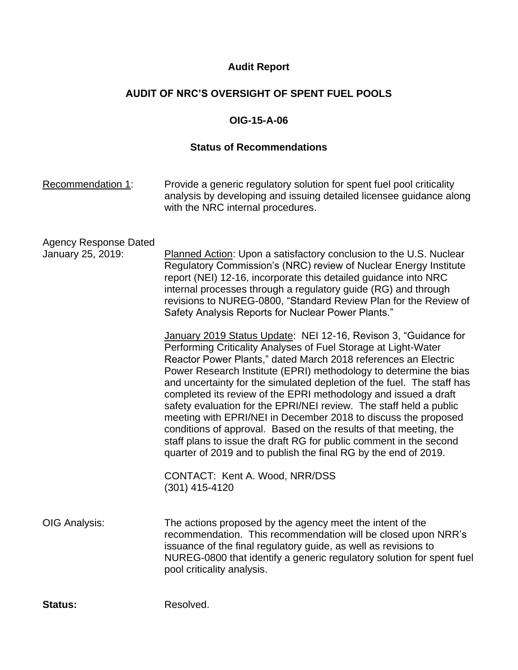## **Audit Report**

## **AUDIT OF NRC'S OVERSIGHT OF SPENT FUEL POOLS**

## **OIG-15-A-06**

### **Status of Recommendations**

| Recommendation 1:                                 | Provide a generic regulatory solution for spent fuel pool criticality<br>analysis by developing and issuing detailed licensee guidance along<br>with the NRC internal procedures.                                                                                                                                                                                                                                                                                                                                                                                                                                                                                                                                                                                           |
|---------------------------------------------------|-----------------------------------------------------------------------------------------------------------------------------------------------------------------------------------------------------------------------------------------------------------------------------------------------------------------------------------------------------------------------------------------------------------------------------------------------------------------------------------------------------------------------------------------------------------------------------------------------------------------------------------------------------------------------------------------------------------------------------------------------------------------------------|
| <b>Agency Response Dated</b><br>January 25, 2019: | Planned Action: Upon a satisfactory conclusion to the U.S. Nuclear<br>Regulatory Commission's (NRC) review of Nuclear Energy Institute<br>report (NEI) 12-16, incorporate this detailed guidance into NRC<br>internal processes through a regulatory guide (RG) and through<br>revisions to NUREG-0800, "Standard Review Plan for the Review of<br>Safety Analysis Reports for Nuclear Power Plants."                                                                                                                                                                                                                                                                                                                                                                       |
|                                                   | January 2019 Status Update: NEI 12-16, Revison 3, "Guidance for<br>Performing Criticality Analyses of Fuel Storage at Light-Water<br>Reactor Power Plants," dated March 2018 references an Electric<br>Power Research Institute (EPRI) methodology to determine the bias<br>and uncertainty for the simulated depletion of the fuel. The staff has<br>completed its review of the EPRI methodology and issued a draft<br>safety evaluation for the EPRI/NEI review. The staff held a public<br>meeting with EPRI/NEI in December 2018 to discuss the proposed<br>conditions of approval. Based on the results of that meeting, the<br>staff plans to issue the draft RG for public comment in the second<br>quarter of 2019 and to publish the final RG by the end of 2019. |
|                                                   | CONTACT: Kent A. Wood, NRR/DSS<br>(301) 415-4120                                                                                                                                                                                                                                                                                                                                                                                                                                                                                                                                                                                                                                                                                                                            |
| OIG Analysis:                                     | The actions proposed by the agency meet the intent of the<br>recommendation. This recommendation will be closed upon NRR's<br>issuance of the final regulatory guide, as well as revisions to<br>NUREG-0800 that identify a generic regulatory solution for spent fuel<br>pool criticality analysis.                                                                                                                                                                                                                                                                                                                                                                                                                                                                        |

Status: Resolved.